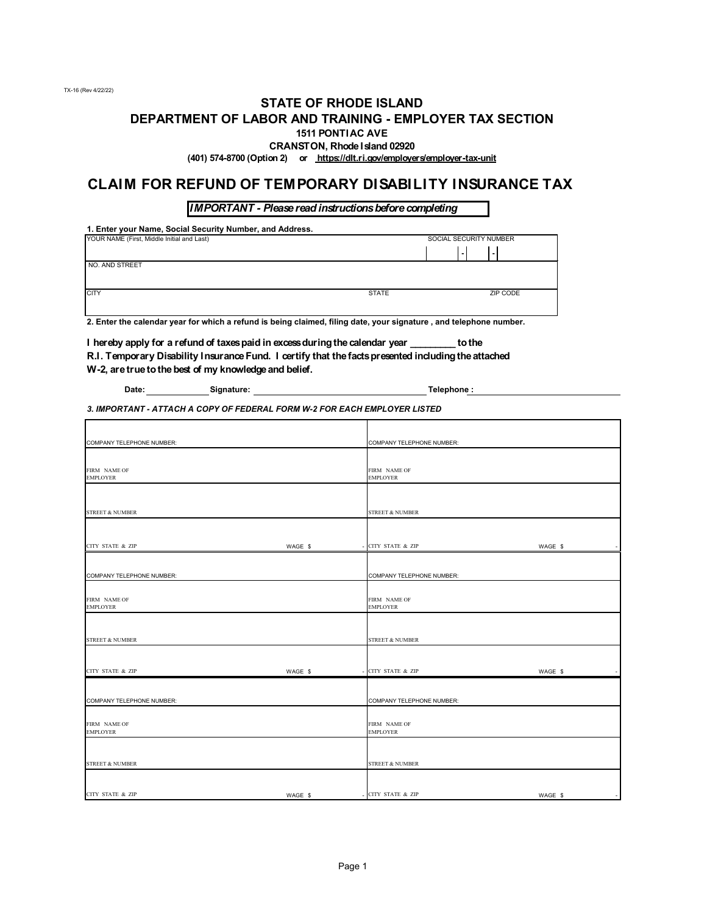#### **STATE OF RHODE ISLAND DEPARTMENT OF LABOR AND TRAINING - EMPLOYER TAX SECTION 1511 PONTIAC AVE**

**CRANSTON, Rhode Island 02920**

**(401) 574-8700 (Option 2) or https://dlt.ri.gov/employers/employer-tax-unit**

#### **CLAIM FOR REFUND OF TEMPORARY DISABILITY INSURANCE TAX**

*IMPORTANT - Please read instructions before completing*

**1. Enter your Name, Social Security Number, and Address.**

| YOUR NAME (First, Middle Initial and Last) | SOCIAL SECURITY NUMBER |          |  |
|--------------------------------------------|------------------------|----------|--|
|                                            |                        | ٠        |  |
| NO. AND STREET                             |                        |          |  |
|                                            |                        |          |  |
| <b>CITY</b>                                | <b>STATE</b>           | ZIP CODE |  |
|                                            |                        |          |  |

**2. Enter the calendar year for which a refund is being claimed, filing date, your signature , and telephone number.**

**I hereby apply for a refund of taxes paid in excess during the calendar year \_\_\_\_\_\_\_\_\_ to the R.I. Temporary Disability Insurance Fund. I certify that the facts presented including the attached W-2, are true to the best of my knowledge and belief.**

| Date: | Signature: |  |
|-------|------------|--|
|       |            |  |

 $\overline{\phantom{a}}$  **Telephone :** 

*3. IMPORTANT - ATTACH A COPY OF FEDERAL FORM W-2 FOR EACH EMPLOYER LISTED*

| COMPANY TELEPHONE NUMBER:       |         | <b>COMPANY TELEPHONE NUMBER:</b> |                                     |
|---------------------------------|---------|----------------------------------|-------------------------------------|
|                                 |         |                                  |                                     |
| FIRM NAME OF<br><b>EMPLOYER</b> |         | FIRM NAME OF<br><b>EMPLOYER</b>  |                                     |
|                                 |         |                                  |                                     |
| <b>STREET &amp; NUMBER</b>      |         | <b>STREET &amp; NUMBER</b>       |                                     |
|                                 |         |                                  |                                     |
| <b>CITY STATE &amp; ZIP</b>     | WAGE \$ | - CITY STATE & ZIP               | WAGE \$                             |
|                                 |         |                                  |                                     |
| COMPANY TELEPHONE NUMBER:       |         | COMPANY TELEPHONE NUMBER:        |                                     |
| FIRM NAME OF<br><b>EMPLOYER</b> |         | FIRM NAME OF<br><b>EMPLOYER</b>  |                                     |
| <b>STREET &amp; NUMBER</b>      |         | <b>STREET &amp; NUMBER</b>       |                                     |
|                                 |         |                                  |                                     |
| CITY STATE & ZIP                | WAGE \$ | <b>CITY STATE &amp; ZIP</b>      | WAGE \$                             |
|                                 |         |                                  |                                     |
| COMPANY TELEPHONE NUMBER:       |         | COMPANY TELEPHONE NUMBER:        |                                     |
| FIRM NAME OF<br><b>EMPLOYER</b> |         | FIRM NAME OF<br><b>EMPLOYER</b>  |                                     |
|                                 |         |                                  |                                     |
| <b>STREET &amp; NUMBER</b>      |         | <b>STREET &amp; NUMBER</b>       |                                     |
|                                 |         |                                  |                                     |
| CITY STATE & ZIP                | WAGE \$ | - CITY STATE $\&$ ZIP            | WAGE \$<br>$\overline{\phantom{a}}$ |